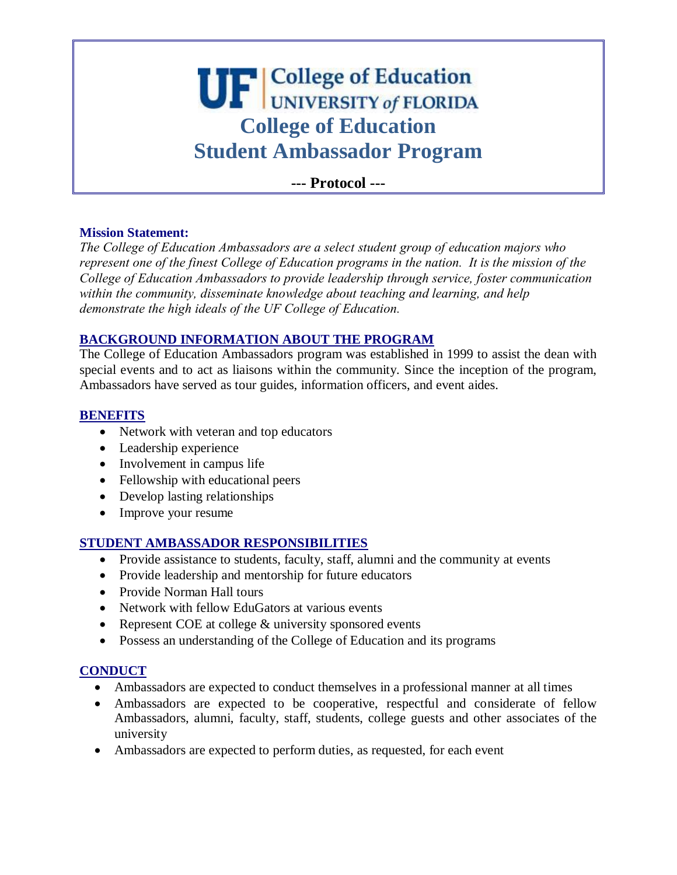# **UIF** College of Education **College of Education Student Ambassador Program**

**--- Protocol ---** 

#### **Mission Statement:**

*The College of Education Ambassadors are a select student group of education majors who represent one of the finest College of Education programs in the nation. It is the mission of the College of Education Ambassadors to provide leadership through service, foster communication within the community, disseminate knowledge about teaching and learning, and help demonstrate the high ideals of the UF College of Education.* 

## **BACKGROUND INFORMATION ABOUT THE PROGRAM**

The College of Education Ambassadors program was established in 1999 to assist the dean with special events and to act as liaisons within the community. Since the inception of the program, Ambassadors have served as tour guides, information officers, and event aides.

#### **BENEFITS**

- Network with veteran and top educators
- Leadership experience
- Involvement in campus life
- Fellowship with educational peers
- Develop lasting relationships
- Improve your resume

#### **STUDENT AMBASSADOR RESPONSIBILITIES**

- Provide assistance to students, faculty, staff, alumni and the community at events
- Provide leadership and mentorship for future educators
- Provide Norman Hall tours
- Network with fellow EduGators at various events
- Represent COE at college & university sponsored events
- Possess an understanding of the College of Education and its programs

# **CONDUCT**

- Ambassadors are expected to conduct themselves in a professional manner at all times
- Ambassadors are expected to be cooperative, respectful and considerate of fellow Ambassadors, alumni, faculty, staff, students, college guests and other associates of the university
- Ambassadors are expected to perform duties, as requested, for each event